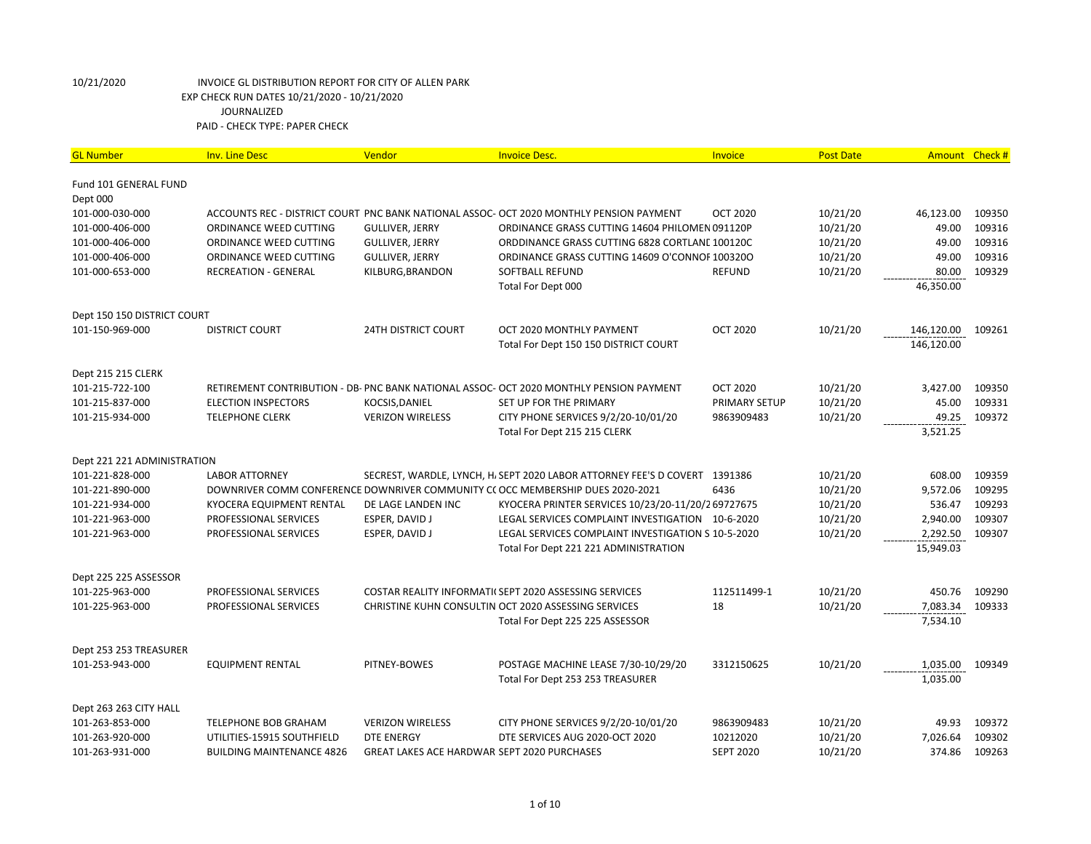| <b>GL Number</b>            | <b>Inv. Line Desc</b>            | Vendor                                             | <b>Invoice Desc.</b>                                                                    | Invoice           | <b>Post Date</b> | Amount Check #       |        |
|-----------------------------|----------------------------------|----------------------------------------------------|-----------------------------------------------------------------------------------------|-------------------|------------------|----------------------|--------|
| Fund 101 GENERAL FUND       |                                  |                                                    |                                                                                         |                   |                  |                      |        |
| Dept 000                    |                                  |                                                    |                                                                                         |                   |                  |                      |        |
| 101-000-030-000             |                                  |                                                    | ACCOUNTS REC - DISTRICT COURT PNC BANK NATIONAL ASSOC- OCT 2020 MONTHLY PENSION PAYMENT | <b>OCT 2020</b>   | 10/21/20         | 46,123.00            | 109350 |
| 101-000-406-000             | ORDINANCE WEED CUTTING           | <b>GULLIVER, JERRY</b>                             | ORDINANCE GRASS CUTTING 14604 PHILOMEN 091120P                                          |                   | 10/21/20         | 49.00                | 109316 |
| 101-000-406-000             | ORDINANCE WEED CUTTING           | <b>GULLIVER, JERRY</b>                             | ORDDINANCE GRASS CUTTING 6828 CORTLANE 100120C                                          |                   | 10/21/20         | 49.00                | 109316 |
| 101-000-406-000             | ORDINANCE WEED CUTTING           | <b>GULLIVER, JERRY</b>                             | ORDINANCE GRASS CUTTING 14609 O'CONNOF 1003200                                          |                   | 10/21/20         | 49.00                | 109316 |
| 101-000-653-000             | <b>RECREATION - GENERAL</b>      | KILBURG, BRANDON                                   | <b>SOFTBALL REFUND</b>                                                                  | <b>REFUND</b>     | 10/21/20         | 80.00                | 109329 |
|                             |                                  |                                                    | Total For Dept 000                                                                      |                   |                  | 46,350.00            |        |
|                             |                                  |                                                    |                                                                                         |                   |                  |                      |        |
| Dept 150 150 DISTRICT COURT |                                  |                                                    |                                                                                         |                   |                  |                      |        |
| 101-150-969-000             | <b>DISTRICT COURT</b>            | <b>24TH DISTRICT COURT</b>                         | OCT 2020 MONTHLY PAYMENT                                                                | <b>OCT 2020</b>   | 10/21/20         | 146,120.00           | 109261 |
|                             |                                  |                                                    | Total For Dept 150 150 DISTRICT COURT                                                   |                   |                  | 146,120.00           |        |
|                             |                                  |                                                    |                                                                                         |                   |                  |                      |        |
| Dept 215 215 CLERK          |                                  |                                                    |                                                                                         |                   |                  |                      |        |
| 101-215-722-100             |                                  |                                                    | RETIREMENT CONTRIBUTION - DB- PNC BANK NATIONAL ASSOC- OCT 2020 MONTHLY PENSION PAYMENT | <b>OCT 2020</b>   | 10/21/20         | 3,427.00             | 109350 |
| 101-215-837-000             | <b>ELECTION INSPECTORS</b>       | KOCSIS, DANIEL                                     | SET UP FOR THE PRIMARY                                                                  | PRIMARY SETUP     | 10/21/20         | 45.00                | 109331 |
| 101-215-934-000             | <b>TELEPHONE CLERK</b>           | <b>VERIZON WIRELESS</b>                            | CITY PHONE SERVICES 9/2/20-10/01/20                                                     | 9863909483        | 10/21/20         | 49.25                | 109372 |
|                             |                                  |                                                    | Total For Dept 215 215 CLERK                                                            |                   |                  | 3,521.25             |        |
|                             |                                  |                                                    |                                                                                         |                   |                  |                      |        |
| Dept 221 221 ADMINISTRATION |                                  |                                                    |                                                                                         |                   |                  |                      |        |
| 101-221-828-000             | <b>LABOR ATTORNEY</b>            |                                                    | SECREST, WARDLE, LYNCH, H. SEPT 2020 LABOR ATTORNEY FEE'S D COVERT 1391386              |                   | 10/21/20         | 608.00               | 109359 |
| 101-221-890-000             |                                  |                                                    | DOWNRIVER COMM CONFERENCE DOWNRIVER COMMUNITY CC OCC MEMBERSHIP DUES 2020-2021          | 6436              | 10/21/20         | 9,572.06             | 109295 |
| 101-221-934-000             | <b>KYOCERA EQUIPMENT RENTAL</b>  | DE LAGE LANDEN INC                                 | KYOCERA PRINTER SERVICES 10/23/20-11/20/2 69727675                                      |                   | 10/21/20         | 536.47               | 109293 |
| 101-221-963-000             | PROFESSIONAL SERVICES            | ESPER, DAVID J                                     | LEGAL SERVICES COMPLAINT INVESTIGATION 10-6-2020                                        |                   | 10/21/20         | 2,940.00             | 109307 |
| 101-221-963-000             | PROFESSIONAL SERVICES            | ESPER, DAVID J                                     | LEGAL SERVICES COMPLAINT INVESTIGATION S 10-5-2020                                      |                   | 10/21/20         | 2,292.50             | 109307 |
|                             |                                  |                                                    | Total For Dept 221 221 ADMINISTRATION                                                   |                   |                  | 15,949.03            |        |
|                             |                                  |                                                    |                                                                                         |                   |                  |                      |        |
| Dept 225 225 ASSESSOR       |                                  |                                                    |                                                                                         |                   |                  |                      |        |
| 101-225-963-000             | PROFESSIONAL SERVICES            |                                                    | COSTAR REALITY INFORMATI(SEPT 2020 ASSESSING SERVICES                                   | 112511499-1<br>18 | 10/21/20         | 450.76               | 109290 |
| 101-225-963-000             | PROFESSIONAL SERVICES            |                                                    | CHRISTINE KUHN CONSULTIN OCT 2020 ASSESSING SERVICES                                    |                   | 10/21/20         | 7,083.34<br>7,534.10 | 109333 |
|                             |                                  |                                                    | Total For Dept 225 225 ASSESSOR                                                         |                   |                  |                      |        |
| Dept 253 253 TREASURER      |                                  |                                                    |                                                                                         |                   |                  |                      |        |
| 101-253-943-000             | <b>EQUIPMENT RENTAL</b>          | PITNEY-BOWES                                       | POSTAGE MACHINE LEASE 7/30-10/29/20                                                     | 3312150625        | 10/21/20         | 1,035.00             | 109349 |
|                             |                                  |                                                    | Total For Dept 253 253 TREASURER                                                        |                   |                  | 1,035.00             |        |
|                             |                                  |                                                    |                                                                                         |                   |                  |                      |        |
| Dept 263 263 CITY HALL      |                                  |                                                    |                                                                                         |                   |                  |                      |        |
| 101-263-853-000             | <b>TELEPHONE BOB GRAHAM</b>      | <b>VERIZON WIRELESS</b>                            | CITY PHONE SERVICES 9/2/20-10/01/20                                                     | 9863909483        | 10/21/20         | 49.93                | 109372 |
| 101-263-920-000             | UTILITIES-15915 SOUTHFIELD       | <b>DTE ENERGY</b>                                  | DTE SERVICES AUG 2020-OCT 2020                                                          | 10212020          | 10/21/20         | 7,026.64             | 109302 |
| 101-263-931-000             | <b>BUILDING MAINTENANCE 4826</b> | <b>GREAT LAKES ACE HARDWAR SEPT 2020 PURCHASES</b> |                                                                                         | <b>SEPT 2020</b>  | 10/21/20         | 374.86               | 109263 |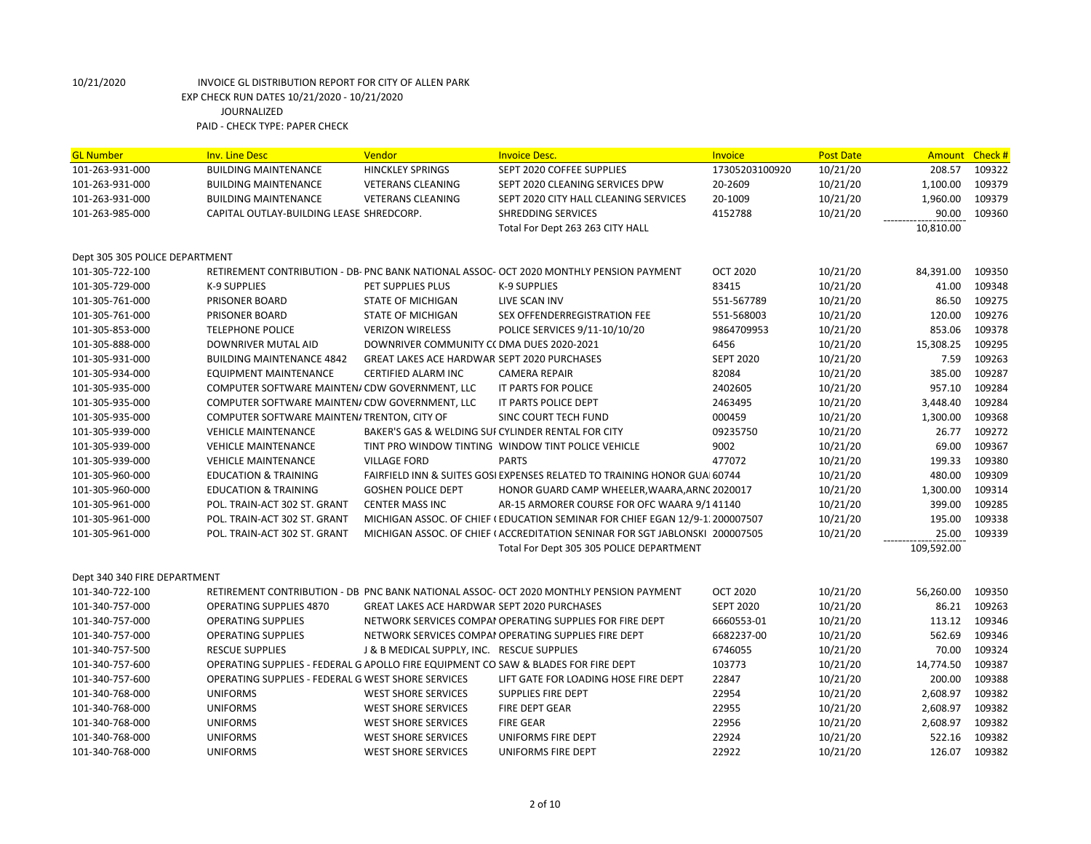| <b>GL Number</b>               | <b>Inv. Line Desc</b>                                                              | Vendor                                             | <b>Invoice Desc.</b>                                                                    | <b>Invoice</b>   | <b>Post Date</b> | Amount Check # |        |
|--------------------------------|------------------------------------------------------------------------------------|----------------------------------------------------|-----------------------------------------------------------------------------------------|------------------|------------------|----------------|--------|
| 101-263-931-000                | <b>BUILDING MAINTENANCE</b>                                                        | <b>HINCKLEY SPRINGS</b>                            | SEPT 2020 COFFEE SUPPLIES                                                               | 17305203100920   | 10/21/20         | 208.57         | 109322 |
| 101-263-931-000                | <b>BUILDING MAINTENANCE</b>                                                        | <b>VETERANS CLEANING</b>                           | SEPT 2020 CLEANING SERVICES DPW                                                         | 20-2609          | 10/21/20         | 1,100.00       | 109379 |
| 101-263-931-000                | <b>BUILDING MAINTENANCE</b>                                                        | <b>VETERANS CLEANING</b>                           | SEPT 2020 CITY HALL CLEANING SERVICES                                                   | 20-1009          | 10/21/20         | 1,960.00       | 109379 |
| 101-263-985-000                | CAPITAL OUTLAY-BUILDING LEASE SHREDCORP.                                           |                                                    | <b>SHREDDING SERVICES</b>                                                               | 4152788          | 10/21/20         | 90.00          | 109360 |
|                                |                                                                                    |                                                    | Total For Dept 263 263 CITY HALL                                                        |                  |                  | 10,810.00      |        |
| Dept 305 305 POLICE DEPARTMENT |                                                                                    |                                                    |                                                                                         |                  |                  |                |        |
| 101-305-722-100                |                                                                                    |                                                    | RETIREMENT CONTRIBUTION - DB- PNC BANK NATIONAL ASSOC- OCT 2020 MONTHLY PENSION PAYMENT | <b>OCT 2020</b>  | 10/21/20         | 84,391.00      | 109350 |
| 101-305-729-000                | <b>K-9 SUPPLIES</b>                                                                | PET SUPPLIES PLUS                                  | <b>K-9 SUPPLIES</b>                                                                     | 83415            | 10/21/20         | 41.00          | 109348 |
| 101-305-761-000                | PRISONER BOARD                                                                     | <b>STATE OF MICHIGAN</b>                           | LIVE SCAN INV                                                                           | 551-567789       | 10/21/20         | 86.50          | 109275 |
| 101-305-761-000                | PRISONER BOARD                                                                     | <b>STATE OF MICHIGAN</b>                           | SEX OFFENDERREGISTRATION FEE                                                            | 551-568003       | 10/21/20         | 120.00         | 109276 |
| 101-305-853-000                | <b>TELEPHONE POLICE</b>                                                            | <b>VERIZON WIRELESS</b>                            | POLICE SERVICES 9/11-10/10/20                                                           | 9864709953       | 10/21/20         | 853.06         | 109378 |
| 101-305-888-000                | DOWNRIVER MUTAL AID                                                                | DOWNRIVER COMMUNITY CC DMA DUES 2020-2021          |                                                                                         | 6456             | 10/21/20         | 15,308.25      | 109295 |
| 101-305-931-000                | <b>BUILDING MAINTENANCE 4842</b>                                                   | GREAT LAKES ACE HARDWAR SEPT 2020 PURCHASES        |                                                                                         | <b>SEPT 2020</b> | 10/21/20         | 7.59           | 109263 |
| 101-305-934-000                | EQUIPMENT MAINTENANCE                                                              | CERTIFIED ALARM INC                                | <b>CAMERA REPAIR</b>                                                                    | 82084            | 10/21/20         | 385.00         | 109287 |
| 101-305-935-000                | COMPUTER SOFTWARE MAINTEN/ CDW GOVERNMENT, LLC                                     |                                                    | IT PARTS FOR POLICE                                                                     | 2402605          | 10/21/20         | 957.10         | 109284 |
| 101-305-935-000                | COMPUTER SOFTWARE MAINTEN/ CDW GOVERNMENT, LLC                                     |                                                    | IT PARTS POLICE DEPT                                                                    | 2463495          | 10/21/20         | 3,448.40       | 109284 |
| 101-305-935-000                | COMPUTER SOFTWARE MAINTEN/ TRENTON, CITY OF                                        |                                                    | SINC COURT TECH FUND                                                                    | 000459           | 10/21/20         | 1,300.00       | 109368 |
| 101-305-939-000                | <b>VEHICLE MAINTENANCE</b>                                                         | BAKER'S GAS & WELDING SUI CYLINDER RENTAL FOR CITY |                                                                                         | 09235750         | 10/21/20         | 26.77          | 109272 |
| 101-305-939-000                | <b>VEHICLE MAINTENANCE</b>                                                         |                                                    | TINT PRO WINDOW TINTING WINDOW TINT POLICE VEHICLE                                      | 9002             | 10/21/20         | 69.00          | 109367 |
| 101-305-939-000                | <b>VEHICLE MAINTENANCE</b>                                                         | <b>VILLAGE FORD</b>                                | <b>PARTS</b>                                                                            | 477072           | 10/21/20         | 199.33         | 109380 |
| 101-305-960-000                | <b>EDUCATION &amp; TRAINING</b>                                                    |                                                    | FAIRFIELD INN & SUITES GOSI EXPENSES RELATED TO TRAINING HONOR GUAI 60744               |                  | 10/21/20         | 480.00         | 109309 |
| 101-305-960-000                | <b>EDUCATION &amp; TRAINING</b>                                                    | <b>GOSHEN POLICE DEPT</b>                          | HONOR GUARD CAMP WHEELER, WAARA, ARNC 2020017                                           |                  | 10/21/20         | 1,300.00       | 109314 |
| 101-305-961-000                | POL. TRAIN-ACT 302 ST. GRANT                                                       | <b>CENTER MASS INC</b>                             | AR-15 ARMORER COURSE FOR OFC WAARA 9/141140                                             |                  | 10/21/20         | 399.00         | 109285 |
| 101-305-961-000                | POL. TRAIN-ACT 302 ST. GRANT                                                       |                                                    | MICHIGAN ASSOC. OF CHIEF (EDUCATION SEMINAR FOR CHIEF EGAN 12/9-1.200007507             |                  | 10/21/20         | 195.00         | 109338 |
| 101-305-961-000                | POL. TRAIN-ACT 302 ST. GRANT                                                       |                                                    | MICHIGAN ASSOC. OF CHIEF (ACCREDITATION SENINAR FOR SGT JABLONSKI 200007505             |                  | 10/21/20         | 25.00          | 109339 |
|                                |                                                                                    |                                                    | Total For Dept 305 305 POLICE DEPARTMENT                                                |                  |                  | 109,592.00     |        |
| Dept 340 340 FIRE DEPARTMENT   |                                                                                    |                                                    |                                                                                         |                  |                  |                |        |
| 101-340-722-100                |                                                                                    |                                                    | RETIREMENT CONTRIBUTION - DB PNC BANK NATIONAL ASSOC- OCT 2020 MONTHLY PENSION PAYMENT  | <b>OCT 2020</b>  | 10/21/20         | 56,260.00      | 109350 |
| 101-340-757-000                | <b>OPERATING SUPPLIES 4870</b>                                                     | <b>GREAT LAKES ACE HARDWAR SEPT 2020 PURCHASES</b> |                                                                                         | <b>SEPT 2020</b> | 10/21/20         | 86.21          | 109263 |
| 101-340-757-000                | <b>OPERATING SUPPLIES</b>                                                          |                                                    | NETWORK SERVICES COMPAI OPERATING SUPPLIES FOR FIRE DEPT                                | 6660553-01       | 10/21/20         | 113.12         | 109346 |
| 101-340-757-000                | <b>OPERATING SUPPLIES</b>                                                          |                                                    | NETWORK SERVICES COMPAI OPERATING SUPPLIES FIRE DEPT                                    | 6682237-00       | 10/21/20         | 562.69         | 109346 |
| 101-340-757-500                | <b>RESCUE SUPPLIES</b>                                                             | J & B MEDICAL SUPPLY, INC. RESCUE SUPPLIES         |                                                                                         | 6746055          | 10/21/20         | 70.00          | 109324 |
| 101-340-757-600                | OPERATING SUPPLIES - FEDERAL G APOLLO FIRE EQUIPMENT CO SAW & BLADES FOR FIRE DEPT |                                                    |                                                                                         | 103773           | 10/21/20         | 14,774.50      | 109387 |
| 101-340-757-600                | OPERATING SUPPLIES - FEDERAL G WEST SHORE SERVICES                                 |                                                    | LIFT GATE FOR LOADING HOSE FIRE DEPT                                                    | 22847            | 10/21/20         | 200.00         | 109388 |
| 101-340-768-000                | <b>UNIFORMS</b>                                                                    | <b>WEST SHORE SERVICES</b>                         | <b>SUPPLIES FIRE DEPT</b>                                                               | 22954            | 10/21/20         | 2,608.97       | 109382 |
| 101-340-768-000                | <b>UNIFORMS</b>                                                                    | <b>WEST SHORE SERVICES</b>                         | <b>FIRE DEPT GEAR</b>                                                                   | 22955            | 10/21/20         | 2,608.97       | 109382 |
| 101-340-768-000                | <b>UNIFORMS</b>                                                                    | <b>WEST SHORE SERVICES</b>                         | <b>FIRE GEAR</b>                                                                        | 22956            | 10/21/20         | 2,608.97       | 109382 |
| 101-340-768-000                | <b>UNIFORMS</b>                                                                    | <b>WEST SHORE SERVICES</b>                         | UNIFORMS FIRE DEPT                                                                      | 22924            | 10/21/20         | 522.16         | 109382 |
| 101-340-768-000                | <b>UNIFORMS</b>                                                                    | <b>WEST SHORE SERVICES</b>                         | UNIFORMS FIRE DEPT                                                                      | 22922            | 10/21/20         | 126.07         | 109382 |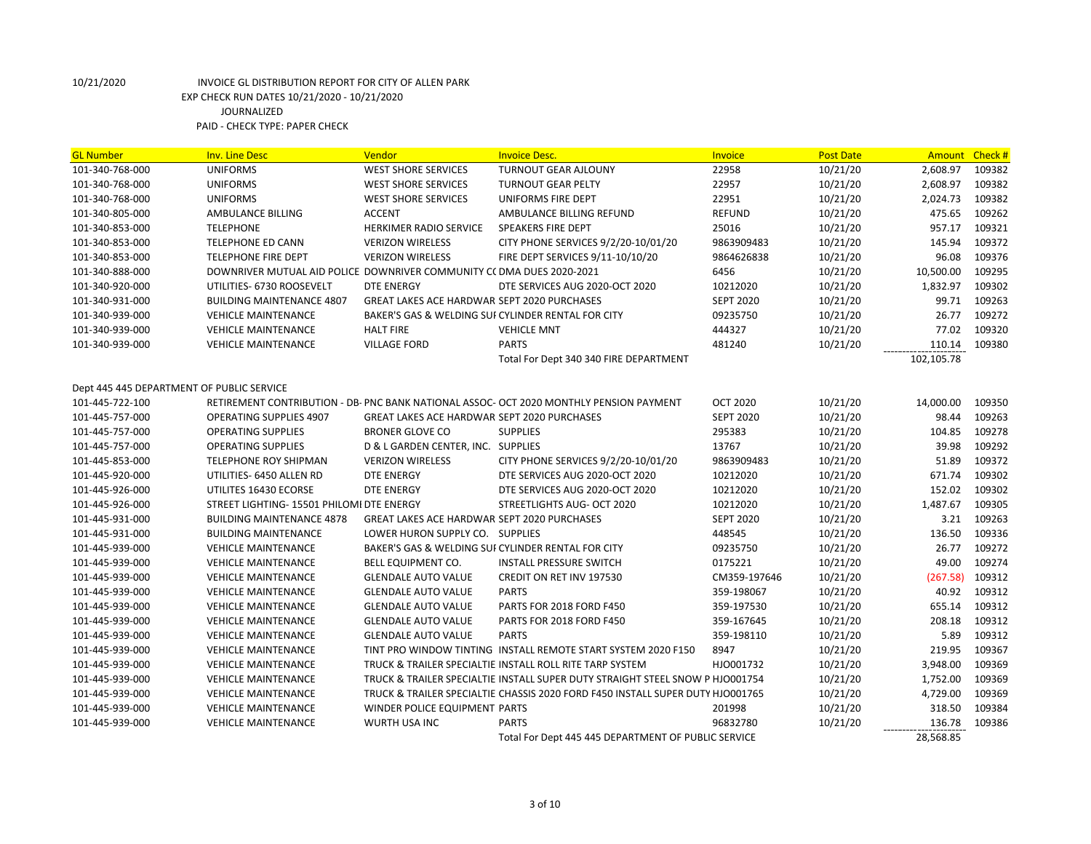| <b>GL Number</b>                          | <b>Inv. Line Desc</b>                                                 | Vendor                                             | <b>Invoice Desc.</b>                                                                    | Invoice          | <b>Post Date</b> | Amount Check # |        |
|-------------------------------------------|-----------------------------------------------------------------------|----------------------------------------------------|-----------------------------------------------------------------------------------------|------------------|------------------|----------------|--------|
| 101-340-768-000                           | <b>UNIFORMS</b>                                                       | <b>WEST SHORE SERVICES</b>                         | <b>TURNOUT GEAR AJLOUNY</b>                                                             | 22958            | 10/21/20         | 2,608.97       | 109382 |
| 101-340-768-000                           | <b>UNIFORMS</b>                                                       | <b>WEST SHORE SERVICES</b>                         | <b>TURNOUT GEAR PELTY</b>                                                               | 22957            | 10/21/20         | 2,608.97       | 109382 |
| 101-340-768-000                           | <b>UNIFORMS</b>                                                       | <b>WEST SHORE SERVICES</b>                         | UNIFORMS FIRE DEPT                                                                      | 22951            | 10/21/20         | 2,024.73       | 109382 |
| 101-340-805-000                           | AMBULANCE BILLING                                                     | <b>ACCENT</b>                                      | AMBULANCE BILLING REFUND                                                                | <b>REFUND</b>    | 10/21/20         | 475.65         | 109262 |
| 101-340-853-000                           | <b>TELEPHONE</b>                                                      | HERKIMER RADIO SERVICE                             | SPEAKERS FIRE DEPT                                                                      | 25016            | 10/21/20         | 957.17         | 109321 |
| 101-340-853-000                           | TELEPHONE ED CANN                                                     | <b>VERIZON WIRELESS</b>                            | CITY PHONE SERVICES 9/2/20-10/01/20                                                     | 9863909483       | 10/21/20         | 145.94         | 109372 |
| 101-340-853-000                           | TELEPHONE FIRE DEPT                                                   | <b>VERIZON WIRELESS</b>                            | FIRE DEPT SERVICES 9/11-10/10/20                                                        | 9864626838       | 10/21/20         | 96.08          | 109376 |
| 101-340-888-000                           | DOWNRIVER MUTUAL AID POLICE DOWNRIVER COMMUNITY CC DMA DUES 2020-2021 |                                                    |                                                                                         | 6456             | 10/21/20         | 10,500.00      | 109295 |
| 101-340-920-000                           | UTILITIES- 6730 ROOSEVELT                                             | <b>DTE ENERGY</b>                                  | DTE SERVICES AUG 2020-OCT 2020                                                          | 10212020         | 10/21/20         | 1,832.97       | 109302 |
| 101-340-931-000                           | <b>BUILDING MAINTENANCE 4807</b>                                      | <b>GREAT LAKES ACE HARDWAR SEPT 2020 PURCHASES</b> |                                                                                         | <b>SEPT 2020</b> | 10/21/20         | 99.71          | 109263 |
| 101-340-939-000                           | <b>VEHICLE MAINTENANCE</b>                                            | BAKER'S GAS & WELDING SUI CYLINDER RENTAL FOR CITY |                                                                                         | 09235750         | 10/21/20         | 26.77          | 109272 |
| 101-340-939-000                           | <b>VEHICLE MAINTENANCE</b>                                            | <b>HALT FIRE</b>                                   | <b>VEHICLE MNT</b>                                                                      | 444327           | 10/21/20         | 77.02          | 109320 |
| 101-340-939-000                           | <b>VEHICLE MAINTENANCE</b>                                            | <b>VILLAGE FORD</b>                                | <b>PARTS</b>                                                                            | 481240           | 10/21/20         | 110.14         | 109380 |
|                                           |                                                                       |                                                    | Total For Dept 340 340 FIRE DEPARTMENT                                                  |                  |                  | 102,105.78     |        |
|                                           |                                                                       |                                                    |                                                                                         |                  |                  |                |        |
| Dept 445 445 DEPARTMENT OF PUBLIC SERVICE |                                                                       |                                                    |                                                                                         |                  |                  |                |        |
| 101-445-722-100                           |                                                                       |                                                    | RETIREMENT CONTRIBUTION - DB- PNC BANK NATIONAL ASSOC- OCT 2020 MONTHLY PENSION PAYMENT | <b>OCT 2020</b>  | 10/21/20         | 14,000.00      | 109350 |
| 101-445-757-000                           | <b>OPERATING SUPPLIES 4907</b>                                        | <b>GREAT LAKES ACE HARDWAR SEPT 2020 PURCHASES</b> |                                                                                         | <b>SEPT 2020</b> | 10/21/20         | 98.44          | 109263 |
| 101-445-757-000                           | <b>OPERATING SUPPLIES</b>                                             | <b>BRONER GLOVE CO</b>                             | <b>SUPPLIES</b>                                                                         | 295383           | 10/21/20         | 104.85         | 109278 |
| 101-445-757-000                           | <b>OPERATING SUPPLIES</b>                                             | D & L GARDEN CENTER, INC. SUPPLIES                 |                                                                                         | 13767            | 10/21/20         | 39.98          | 109292 |
| 101-445-853-000                           | <b>TELEPHONE ROY SHIPMAN</b>                                          | <b>VERIZON WIRELESS</b>                            | CITY PHONE SERVICES 9/2/20-10/01/20                                                     | 9863909483       | 10/21/20         | 51.89          | 109372 |
| 101-445-920-000                           | UTILITIES- 6450 ALLEN RD                                              | <b>DTE ENERGY</b>                                  | DTE SERVICES AUG 2020-OCT 2020                                                          | 10212020         | 10/21/20         | 671.74         | 109302 |
| 101-445-926-000                           | UTILITES 16430 ECORSE                                                 | <b>DTE ENERGY</b>                                  | DTE SERVICES AUG 2020-OCT 2020                                                          | 10212020         | 10/21/20         | 152.02         | 109302 |
| 101-445-926-000                           | STREET LIGHTING-15501 PHILOMI DTE ENERGY                              |                                                    | STREETLIGHTS AUG- OCT 2020                                                              | 10212020         | 10/21/20         | 1,487.67       | 109305 |
| 101-445-931-000                           | <b>BUILDING MAINTENANCE 4878</b>                                      | <b>GREAT LAKES ACE HARDWAR SEPT 2020 PURCHASES</b> |                                                                                         | <b>SEPT 2020</b> | 10/21/20         | 3.21           | 109263 |
| 101-445-931-000                           | <b>BUILDING MAINTENANCE</b>                                           | LOWER HURON SUPPLY CO. SUPPLIES                    |                                                                                         | 448545           | 10/21/20         | 136.50         | 109336 |
| 101-445-939-000                           | <b>VEHICLE MAINTENANCE</b>                                            | BAKER'S GAS & WELDING SUI CYLINDER RENTAL FOR CITY |                                                                                         | 09235750         | 10/21/20         | 26.77          | 109272 |
| 101-445-939-000                           | <b>VEHICLE MAINTENANCE</b>                                            | BELL EQUIPMENT CO.                                 | <b>INSTALL PRESSURE SWITCH</b>                                                          | 0175221          | 10/21/20         | 49.00          | 109274 |
| 101-445-939-000                           | <b>VEHICLE MAINTENANCE</b>                                            | <b>GLENDALE AUTO VALUE</b>                         | CREDIT ON RET INV 197530                                                                | CM359-197646     | 10/21/20         | (267.58)       | 109312 |
| 101-445-939-000                           | <b>VEHICLE MAINTENANCE</b>                                            | <b>GLENDALE AUTO VALUE</b>                         | <b>PARTS</b>                                                                            | 359-198067       | 10/21/20         | 40.92          | 109312 |
| 101-445-939-000                           | <b>VEHICLE MAINTENANCE</b>                                            | <b>GLENDALE AUTO VALUE</b>                         | PARTS FOR 2018 FORD F450                                                                | 359-197530       | 10/21/20         | 655.14         | 109312 |
| 101-445-939-000                           | <b>VEHICLE MAINTENANCE</b>                                            | <b>GLENDALE AUTO VALUE</b>                         | PARTS FOR 2018 FORD F450                                                                | 359-167645       | 10/21/20         | 208.18         | 109312 |
| 101-445-939-000                           | <b>VEHICLE MAINTENANCE</b>                                            | <b>GLENDALE AUTO VALUE</b>                         | <b>PARTS</b>                                                                            | 359-198110       | 10/21/20         | 5.89           | 109312 |
| 101-445-939-000                           | <b>VEHICLE MAINTENANCE</b>                                            |                                                    | TINT PRO WINDOW TINTING INSTALL REMOTE START SYSTEM 2020 F150                           | 8947             | 10/21/20         | 219.95         | 109367 |
| 101-445-939-000                           | <b>VEHICLE MAINTENANCE</b>                                            |                                                    | TRUCK & TRAILER SPECIALTIE INSTALL ROLL RITE TARP SYSTEM                                | HJO001732        | 10/21/20         | 3,948.00       | 109369 |
| 101-445-939-000                           | <b>VEHICLE MAINTENANCE</b>                                            |                                                    | TRUCK & TRAILER SPECIALTIE INSTALL SUPER DUTY STRAIGHT STEEL SNOW P HJO001754           |                  | 10/21/20         | 1,752.00       | 109369 |
| 101-445-939-000                           | <b>VEHICLE MAINTENANCE</b>                                            |                                                    | TRUCK & TRAILER SPECIALTIE CHASSIS 2020 FORD F450 INSTALL SUPER DUTY HJO001765          |                  | 10/21/20         | 4,729.00       | 109369 |
| 101-445-939-000                           | <b>VEHICLE MAINTENANCE</b>                                            | WINDER POLICE EQUIPMENT PARTS                      |                                                                                         | 201998           | 10/21/20         | 318.50         | 109384 |
| 101-445-939-000                           | <b>VEHICLE MAINTENANCE</b>                                            | WURTH USA INC                                      | <b>PARTS</b>                                                                            | 96832780         | 10/21/20         | 136.78         | 109386 |
|                                           |                                                                       |                                                    | Total For Dept 445 445 DEPARTMENT OF PUBLIC SERVICE                                     |                  |                  | 28,568.85      |        |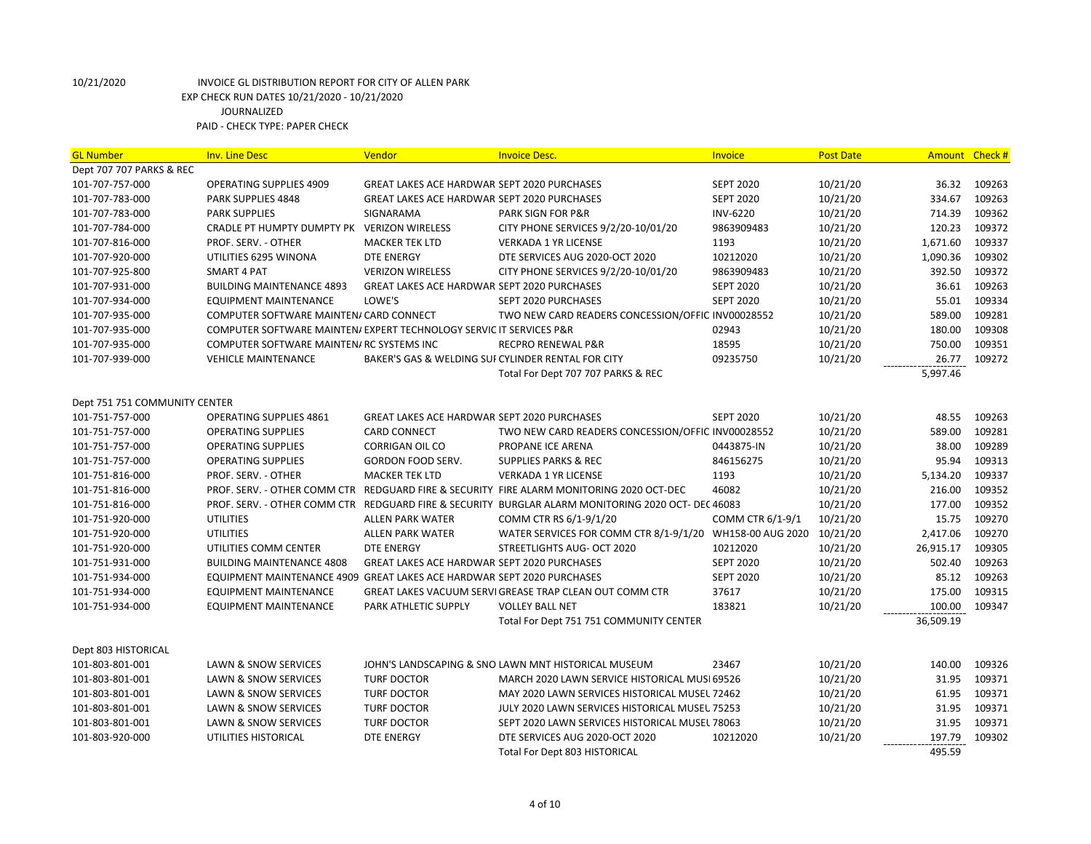| <b>GL Number</b>              | <b>Inv. Line Desc</b>                                                  | Vendor                                             | <b>Invoice Desc.</b>                                                                               | Invoice          | <b>Post Date</b> | <b>Amount</b> | Check # |
|-------------------------------|------------------------------------------------------------------------|----------------------------------------------------|----------------------------------------------------------------------------------------------------|------------------|------------------|---------------|---------|
| Dept 707 707 PARKS & REC      |                                                                        |                                                    |                                                                                                    |                  |                  |               |         |
| 101-707-757-000               | <b>OPERATING SUPPLIES 4909</b>                                         | <b>GREAT LAKES ACE HARDWAR SEPT 2020 PURCHASES</b> |                                                                                                    | <b>SEPT 2020</b> | 10/21/20         | 36.32         | 109263  |
| 101-707-783-000               | <b>PARK SUPPLIES 4848</b>                                              | <b>GREAT LAKES ACE HARDWAR SEPT 2020 PURCHASES</b> |                                                                                                    | <b>SEPT 2020</b> | 10/21/20         | 334.67        | 109263  |
| 101-707-783-000               | <b>PARK SUPPLIES</b>                                                   | SIGNARAMA                                          | PARK SIGN FOR P&R                                                                                  | INV-6220         | 10/21/20         | 714.39        | 109362  |
| 101-707-784-000               | CRADLE PT HUMPTY DUMPTY PK VERIZON WIRELESS                            |                                                    | CITY PHONE SERVICES 9/2/20-10/01/20                                                                | 9863909483       | 10/21/20         | 120.23        | 109372  |
| 101-707-816-000               | PROF. SERV. - OTHER                                                    | <b>MACKER TEK LTD</b>                              | <b>VERKADA 1 YR LICENSE</b>                                                                        | 1193             | 10/21/20         | 1,671.60      | 109337  |
| 101-707-920-000               | UTILITIES 6295 WINONA                                                  | <b>DTE ENERGY</b>                                  | DTE SERVICES AUG 2020-OCT 2020                                                                     | 10212020         | 10/21/20         | 1,090.36      | 109302  |
| 101-707-925-800               | <b>SMART 4 PAT</b>                                                     | <b>VERIZON WIRELESS</b>                            | CITY PHONE SERVICES 9/2/20-10/01/20                                                                | 9863909483       | 10/21/20         | 392.50        | 109372  |
| 101-707-931-000               | <b>BUILDING MAINTENANCE 4893</b>                                       | GREAT LAKES ACE HARDWAR SEPT 2020 PURCHASES        |                                                                                                    | <b>SEPT 2020</b> | 10/21/20         | 36.61         | 109263  |
| 101-707-934-000               | <b>EQUIPMENT MAINTENANCE</b>                                           | LOWE'S                                             | <b>SEPT 2020 PURCHASES</b>                                                                         | <b>SEPT 2020</b> | 10/21/20         | 55.01         | 109334  |
| 101-707-935-000               | COMPUTER SOFTWARE MAINTEN/ CARD CONNECT                                |                                                    | TWO NEW CARD READERS CONCESSION/OFFIC INV00028552                                                  |                  | 10/21/20         | 589.00        | 109281  |
| 101-707-935-000               | COMPUTER SOFTWARE MAINTEN/ EXPERT TECHNOLOGY SERVIC IT SERVICES P&R    |                                                    |                                                                                                    | 02943            | 10/21/20         | 180.00        | 109308  |
| 101-707-935-000               | COMPUTER SOFTWARE MAINTEN/ RC SYSTEMS INC                              |                                                    | <b>RECPRO RENEWAL P&amp;R</b>                                                                      | 18595            | 10/21/20         | 750.00        | 109351  |
| 101-707-939-000               | <b>VEHICLE MAINTENANCE</b>                                             | BAKER'S GAS & WELDING SUI CYLINDER RENTAL FOR CITY |                                                                                                    | 09235750         | 10/21/20         | 26.77         | 109272  |
|                               |                                                                        |                                                    | Total For Dept 707 707 PARKS & REC                                                                 |                  |                  | 5,997.46      |         |
|                               |                                                                        |                                                    |                                                                                                    |                  |                  |               |         |
| Dept 751 751 COMMUNITY CENTER |                                                                        |                                                    |                                                                                                    |                  |                  |               |         |
| 101-751-757-000               | OPERATING SUPPLIES 4861                                                | <b>GREAT LAKES ACE HARDWAR SEPT 2020 PURCHASES</b> |                                                                                                    | <b>SEPT 2020</b> | 10/21/20         | 48.55         | 109263  |
| 101-751-757-000               | <b>OPERATING SUPPLIES</b>                                              | <b>CARD CONNECT</b>                                | TWO NEW CARD READERS CONCESSION/OFFIC INV00028552                                                  |                  | 10/21/20         | 589.00        | 109281  |
| 101-751-757-000               | <b>OPERATING SUPPLIES</b>                                              | <b>CORRIGAN OIL CO</b>                             | PROPANE ICE ARENA                                                                                  | 0443875-IN       | 10/21/20         | 38.00         | 109289  |
| 101-751-757-000               | <b>OPERATING SUPPLIES</b>                                              | <b>GORDON FOOD SERV.</b>                           | <b>SUPPLIES PARKS &amp; REC</b>                                                                    | 846156275        | 10/21/20         | 95.94         | 109313  |
| 101-751-816-000               | PROF. SERV. - OTHER                                                    | <b>MACKER TEK LTD</b>                              | <b>VERKADA 1 YR LICENSE</b>                                                                        | 1193             | 10/21/20         | 5,134.20      | 109337  |
| 101-751-816-000               |                                                                        |                                                    | PROF. SERV. - OTHER COMM CTR REDGUARD FIRE & SECURITY FIRE ALARM MONITORING 2020 OCT-DEC           | 46082            | 10/21/20         | 216.00        | 109352  |
| 101-751-816-000               |                                                                        |                                                    | PROF. SERV. - OTHER COMM CTR REDGUARD FIRE & SECURITY BURGLAR ALARM MONITORING 2020 OCT- DEC 46083 |                  | 10/21/20         | 177.00        | 109352  |
| 101-751-920-000               | <b>UTILITIES</b>                                                       | <b>ALLEN PARK WATER</b>                            | COMM CTR RS 6/1-9/1/20                                                                             | COMM CTR 6/1-9/1 | 10/21/20         | 15.75         | 109270  |
| 101-751-920-000               | <b>UTILITIES</b>                                                       | <b>ALLEN PARK WATER</b>                            | WATER SERVICES FOR COMM CTR 8/1-9/1/20 WH158-00 AUG 2020                                           |                  | 10/21/20         | 2,417.06      | 109270  |
| 101-751-920-000               | UTILITIES COMM CENTER                                                  | <b>DTE ENERGY</b>                                  | STREETLIGHTS AUG- OCT 2020                                                                         | 10212020         | 10/21/20         | 26,915.17     | 109305  |
| 101-751-931-000               | <b>BUILDING MAINTENANCE 4808</b>                                       | GREAT LAKES ACE HARDWAR SEPT 2020 PURCHASES        |                                                                                                    | <b>SEPT 2020</b> | 10/21/20         | 502.40        | 109263  |
| 101-751-934-000               | EQUIPMENT MAINTENANCE 4909 GREAT LAKES ACE HARDWAR SEPT 2020 PURCHASES |                                                    |                                                                                                    | <b>SEPT 2020</b> | 10/21/20         | 85.12         | 109263  |
| 101-751-934-000               | <b>EQUIPMENT MAINTENANCE</b>                                           |                                                    | GREAT LAKES VACUUM SERVI GREASE TRAP CLEAN OUT COMM CTR                                            | 37617            | 10/21/20         | 175.00        | 109315  |
| 101-751-934-000               | <b>EQUIPMENT MAINTENANCE</b>                                           | PARK ATHLETIC SUPPLY                               | <b>VOLLEY BALL NET</b>                                                                             | 183821           | 10/21/20         | 100.00        | 109347  |
|                               |                                                                        |                                                    | Total For Dept 751 751 COMMUNITY CENTER                                                            |                  |                  | 36,509.19     |         |
|                               |                                                                        |                                                    |                                                                                                    |                  |                  |               |         |
| Dept 803 HISTORICAL           |                                                                        |                                                    |                                                                                                    |                  |                  |               |         |
| 101-803-801-001               | LAWN & SNOW SERVICES                                                   |                                                    | JOHN'S LANDSCAPING & SNO LAWN MNT HISTORICAL MUSEUM                                                | 23467            | 10/21/20         | 140.00        | 109326  |
| 101-803-801-001               | <b>LAWN &amp; SNOW SERVICES</b>                                        | <b>TURF DOCTOR</b>                                 | MARCH 2020 LAWN SERVICE HISTORICAL MUSI 69526                                                      |                  | 10/21/20         | 31.95         | 109371  |
| 101-803-801-001               | LAWN & SNOW SERVICES                                                   | <b>TURF DOCTOR</b>                                 | MAY 2020 LAWN SERVICES HISTORICAL MUSEL 72462                                                      |                  | 10/21/20         | 61.95         | 109371  |
| 101-803-801-001               | LAWN & SNOW SERVICES                                                   | <b>TURF DOCTOR</b>                                 | JULY 2020 LAWN SERVICES HISTORICAL MUSEU 75253                                                     |                  | 10/21/20         | 31.95         | 109371  |
| 101-803-801-001               | LAWN & SNOW SERVICES                                                   | TURF DOCTOR                                        | SEPT 2020 LAWN SERVICES HISTORICAL MUSEL 78063                                                     |                  | 10/21/20         | 31.95         | 109371  |
| 101-803-920-000               | UTILITIES HISTORICAL                                                   | <b>DTE ENERGY</b>                                  | DTE SERVICES AUG 2020-OCT 2020                                                                     | 10212020         | 10/21/20         | 197.79        | 109302  |
|                               |                                                                        |                                                    | Total For Dept 803 HISTORICAL                                                                      |                  |                  | 495.59        |         |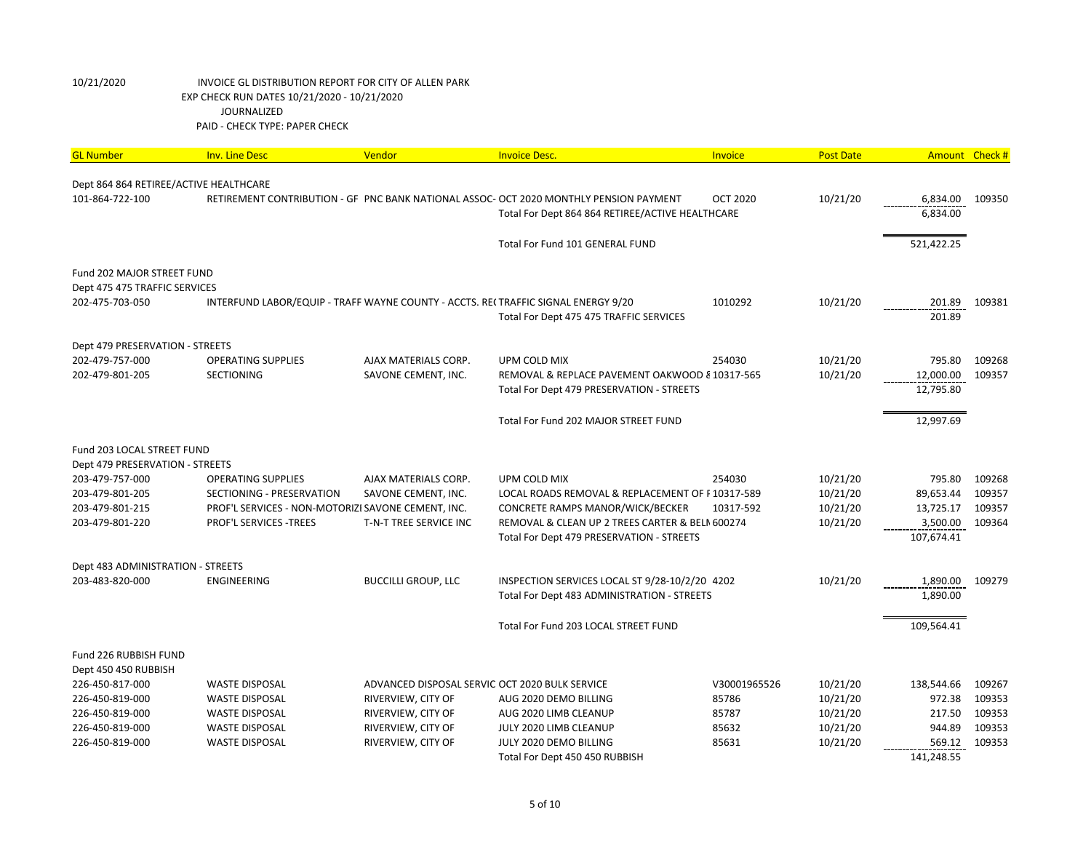| <b>GL Number</b>                                            | <b>Inv. Line Desc</b>                                                             | Vendor                                         | <b>Invoice Desc.</b>                                                                   | <b>Invoice</b>  | <b>Post Date</b> |                        | Amount Check # |
|-------------------------------------------------------------|-----------------------------------------------------------------------------------|------------------------------------------------|----------------------------------------------------------------------------------------|-----------------|------------------|------------------------|----------------|
|                                                             |                                                                                   |                                                |                                                                                        |                 |                  |                        |                |
| Dept 864 864 RETIREE/ACTIVE HEALTHCARE<br>101-864-722-100   |                                                                                   |                                                | RETIREMENT CONTRIBUTION - GF PNC BANK NATIONAL ASSOC- OCT 2020 MONTHLY PENSION PAYMENT | <b>OCT 2020</b> | 10/21/20         | 6,834.00               | 109350         |
|                                                             |                                                                                   |                                                | Total For Dept 864 864 RETIREE/ACTIVE HEALTHCARE                                       |                 |                  | 6,834.00               |                |
|                                                             |                                                                                   |                                                |                                                                                        |                 |                  |                        |                |
|                                                             |                                                                                   |                                                | Total For Fund 101 GENERAL FUND                                                        |                 |                  | 521,422.25             |                |
|                                                             |                                                                                   |                                                |                                                                                        |                 |                  |                        |                |
| Fund 202 MAJOR STREET FUND<br>Dept 475 475 TRAFFIC SERVICES |                                                                                   |                                                |                                                                                        |                 |                  |                        |                |
| 202-475-703-050                                             | INTERFUND LABOR/EQUIP - TRAFF WAYNE COUNTY - ACCTS. RECTRAFFIC SIGNAL ENERGY 9/20 |                                                |                                                                                        | 1010292         | 10/21/20         | 201.89                 | 109381         |
|                                                             |                                                                                   |                                                | Total For Dept 475 475 TRAFFIC SERVICES                                                |                 |                  | 201.89                 |                |
|                                                             |                                                                                   |                                                |                                                                                        |                 |                  |                        |                |
| Dept 479 PRESERVATION - STREETS                             |                                                                                   |                                                |                                                                                        |                 |                  |                        |                |
| 202-479-757-000                                             | <b>OPERATING SUPPLIES</b>                                                         | AJAX MATERIALS CORP.                           | UPM COLD MIX                                                                           | 254030          | 10/21/20         | 795.80                 | 109268         |
| 202-479-801-205                                             | <b>SECTIONING</b>                                                                 | SAVONE CEMENT, INC.                            | REMOVAL & REPLACE PAVEMENT OAKWOOD 810317-565                                          |                 | 10/21/20         | 12,000.00<br>12,795.80 | 109357         |
|                                                             |                                                                                   |                                                | Total For Dept 479 PRESERVATION - STREETS                                              |                 |                  |                        |                |
|                                                             |                                                                                   |                                                | Total For Fund 202 MAJOR STREET FUND                                                   |                 |                  | 12,997.69              |                |
| Fund 203 LOCAL STREET FUND                                  |                                                                                   |                                                |                                                                                        |                 |                  |                        |                |
| Dept 479 PRESERVATION - STREETS                             |                                                                                   |                                                |                                                                                        |                 |                  |                        |                |
| 203-479-757-000                                             | <b>OPERATING SUPPLIES</b>                                                         | AJAX MATERIALS CORP.                           | UPM COLD MIX                                                                           | 254030          | 10/21/20         | 795.80                 | 109268         |
| 203-479-801-205                                             | SECTIONING - PRESERVATION                                                         | SAVONE CEMENT, INC.                            | LOCAL ROADS REMOVAL & REPLACEMENT OF F10317-589                                        |                 | 10/21/20         | 89,653.44              | 109357         |
| 203-479-801-215                                             | PROF'L SERVICES - NON-MOTORIZI SAVONE CEMENT, INC.                                |                                                | CONCRETE RAMPS MANOR/WICK/BECKER                                                       | 10317-592       | 10/21/20         | 13,725.17              | 109357         |
| 203-479-801-220                                             | <b>PROF'L SERVICES -TREES</b>                                                     | T-N-T TREE SERVICE INC                         | REMOVAL & CLEAN UP 2 TREES CARTER & BELN 600274                                        |                 | 10/21/20         | 3,500.00               | 109364         |
|                                                             |                                                                                   |                                                | Total For Dept 479 PRESERVATION - STREETS                                              |                 |                  | 107,674.41             |                |
| Dept 483 ADMINISTRATION - STREETS                           |                                                                                   |                                                |                                                                                        |                 |                  |                        |                |
| 203-483-820-000                                             | <b>ENGINEERING</b>                                                                | <b>BUCCILLI GROUP, LLC</b>                     | INSPECTION SERVICES LOCAL ST 9/28-10/2/20 4202                                         |                 | 10/21/20         | 1,890.00               | 109279         |
|                                                             |                                                                                   |                                                | Total For Dept 483 ADMINISTRATION - STREETS                                            |                 |                  | 1,890.00               |                |
|                                                             |                                                                                   |                                                | Total For Fund 203 LOCAL STREET FUND                                                   |                 |                  | 109,564.41             |                |
| Fund 226 RUBBISH FUND                                       |                                                                                   |                                                |                                                                                        |                 |                  |                        |                |
| Dept 450 450 RUBBISH                                        |                                                                                   |                                                |                                                                                        |                 |                  |                        |                |
| 226-450-817-000                                             | <b>WASTE DISPOSAL</b>                                                             | ADVANCED DISPOSAL SERVIC OCT 2020 BULK SERVICE |                                                                                        | V30001965526    | 10/21/20         | 138,544.66             | 109267         |
| 226-450-819-000                                             | <b>WASTE DISPOSAL</b>                                                             | RIVERVIEW, CITY OF                             | AUG 2020 DEMO BILLING                                                                  | 85786           | 10/21/20         | 972.38                 | 109353         |
| 226-450-819-000                                             | <b>WASTE DISPOSAL</b>                                                             | RIVERVIEW, CITY OF                             | AUG 2020 LIMB CLEANUP                                                                  | 85787           | 10/21/20         | 217.50                 | 109353         |
| 226-450-819-000                                             | <b>WASTE DISPOSAL</b>                                                             | RIVERVIEW, CITY OF                             | JULY 2020 LIMB CLEANUP                                                                 | 85632           | 10/21/20         | 944.89                 | 109353         |
| 226-450-819-000                                             | <b>WASTE DISPOSAL</b>                                                             | RIVERVIEW, CITY OF                             | JULY 2020 DEMO BILLING                                                                 | 85631           | 10/21/20         | 569.12                 | 109353         |
|                                                             |                                                                                   |                                                | Total For Dept 450 450 RUBBISH                                                         |                 |                  | 141,248.55             |                |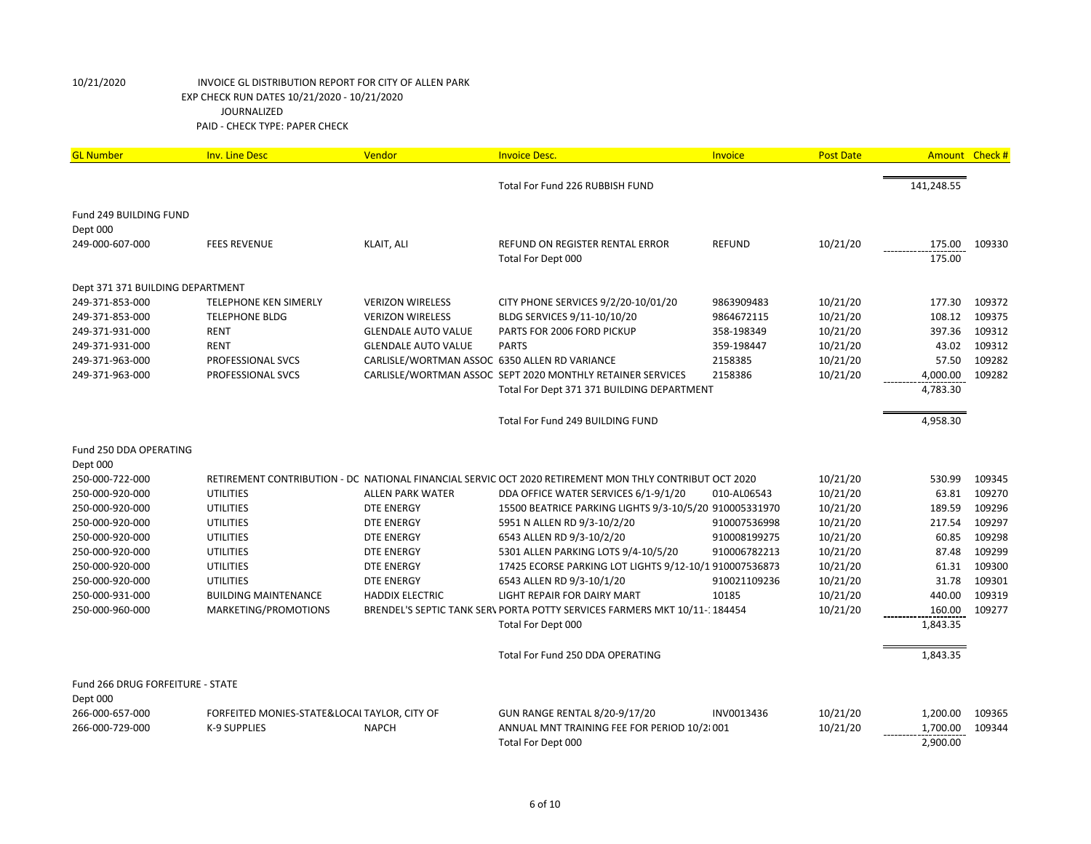| <b>GL Number</b>                             | <b>Inv. Line Desc</b>                        | Vendor                                        | <b>Invoice Desc.</b>                                                                                   | Invoice       | <b>Post Date</b> | Amount Check # |        |
|----------------------------------------------|----------------------------------------------|-----------------------------------------------|--------------------------------------------------------------------------------------------------------|---------------|------------------|----------------|--------|
|                                              |                                              |                                               |                                                                                                        |               |                  |                |        |
|                                              |                                              |                                               | Total For Fund 226 RUBBISH FUND                                                                        |               |                  | 141,248.55     |        |
| Fund 249 BUILDING FUND                       |                                              |                                               |                                                                                                        |               |                  |                |        |
| Dept 000                                     |                                              |                                               |                                                                                                        |               |                  |                |        |
| 249-000-607-000                              | <b>FEES REVENUE</b>                          | KLAIT, ALI                                    | REFUND ON REGISTER RENTAL ERROR                                                                        | <b>REFUND</b> | 10/21/20         | 175.00         | 109330 |
|                                              |                                              |                                               | Total For Dept 000                                                                                     |               |                  | 175.00         |        |
| Dept 371 371 BUILDING DEPARTMENT             |                                              |                                               |                                                                                                        |               |                  |                |        |
| 249-371-853-000                              | <b>TELEPHONE KEN SIMERLY</b>                 | <b>VERIZON WIRELESS</b>                       | CITY PHONE SERVICES 9/2/20-10/01/20                                                                    | 9863909483    | 10/21/20         | 177.30         | 109372 |
| 249-371-853-000                              | <b>TELEPHONE BLDG</b>                        | <b>VERIZON WIRELESS</b>                       | BLDG SERVICES 9/11-10/10/20                                                                            | 9864672115    | 10/21/20         | 108.12         | 109375 |
| 249-371-931-000                              | <b>RENT</b>                                  | <b>GLENDALE AUTO VALUE</b>                    | PARTS FOR 2006 FORD PICKUP                                                                             | 358-198349    | 10/21/20         | 397.36         | 109312 |
| 249-371-931-000                              | <b>RENT</b>                                  | <b>GLENDALE AUTO VALUE</b>                    | <b>PARTS</b>                                                                                           | 359-198447    | 10/21/20         | 43.02          | 109312 |
| 249-371-963-000                              | PROFESSIONAL SVCS                            | CARLISLE/WORTMAN ASSOC 6350 ALLEN RD VARIANCE |                                                                                                        | 2158385       | 10/21/20         | 57.50          | 109282 |
| 249-371-963-000                              | PROFESSIONAL SVCS                            |                                               | CARLISLE/WORTMAN ASSOC SEPT 2020 MONTHLY RETAINER SERVICES                                             | 2158386       | 10/21/20         | 4,000.00       | 109282 |
|                                              |                                              |                                               | Total For Dept 371 371 BUILDING DEPARTMENT                                                             |               |                  | 4,783.30       |        |
|                                              |                                              |                                               | Total For Fund 249 BUILDING FUND                                                                       |               |                  | 4,958.30       |        |
|                                              |                                              |                                               |                                                                                                        |               |                  |                |        |
| Fund 250 DDA OPERATING                       |                                              |                                               |                                                                                                        |               |                  |                |        |
| Dept 000                                     |                                              |                                               |                                                                                                        |               |                  |                |        |
| 250-000-722-000                              |                                              |                                               | RETIREMENT CONTRIBUTION - DC NATIONAL FINANCIAL SERVIC OCT 2020 RETIREMENT MON THLY CONTRIBUT OCT 2020 |               | 10/21/20         | 530.99         | 109345 |
| 250-000-920-000                              | <b>UTILITIES</b>                             | <b>ALLEN PARK WATER</b>                       | DDA OFFICE WATER SERVICES 6/1-9/1/20                                                                   | 010-AL06543   | 10/21/20         | 63.81          | 109270 |
| 250-000-920-000                              | <b>UTILITIES</b>                             | <b>DTE ENERGY</b>                             | 15500 BEATRICE PARKING LIGHTS 9/3-10/5/20 910005331970                                                 |               | 10/21/20         | 189.59         | 109296 |
| 250-000-920-000                              | <b>UTILITIES</b>                             | <b>DTE ENERGY</b>                             | 5951 N ALLEN RD 9/3-10/2/20                                                                            | 910007536998  | 10/21/20         | 217.54         | 109297 |
| 250-000-920-000                              | <b>UTILITIES</b>                             | <b>DTE ENERGY</b>                             | 6543 ALLEN RD 9/3-10/2/20                                                                              | 910008199275  | 10/21/20         | 60.85          | 109298 |
| 250-000-920-000                              | <b>UTILITIES</b>                             | <b>DTE ENERGY</b>                             | 5301 ALLEN PARKING LOTS 9/4-10/5/20                                                                    | 910006782213  | 10/21/20         | 87.48          | 109299 |
| 250-000-920-000                              | <b>UTILITIES</b>                             | <b>DTE ENERGY</b>                             | 17425 ECORSE PARKING LOT LIGHTS 9/12-10/1 910007536873                                                 |               | 10/21/20         | 61.31          | 109300 |
| 250-000-920-000                              | <b>UTILITIES</b>                             | <b>DTE ENERGY</b>                             | 6543 ALLEN RD 9/3-10/1/20                                                                              | 910021109236  | 10/21/20         | 31.78          | 109301 |
| 250-000-931-000                              | <b>BUILDING MAINTENANCE</b>                  | <b>HADDIX ELECTRIC</b>                        | LIGHT REPAIR FOR DAIRY MART                                                                            | 10185         | 10/21/20         | 440.00         | 109319 |
| 250-000-960-000                              | MARKETING/PROMOTIONS                         |                                               | BRENDEL'S SEPTIC TANK SER\ PORTA POTTY SERVICES FARMERS MKT 10/11-1184454                              |               | 10/21/20         | 160.00         | 109277 |
|                                              |                                              |                                               | Total For Dept 000                                                                                     |               |                  | 1,843.35       |        |
|                                              |                                              |                                               | Total For Fund 250 DDA OPERATING                                                                       |               |                  | 1,843.35       |        |
|                                              |                                              |                                               |                                                                                                        |               |                  |                |        |
| Fund 266 DRUG FORFEITURE - STATE<br>Dept 000 |                                              |                                               |                                                                                                        |               |                  |                |        |
| 266-000-657-000                              | FORFEITED MONIES-STATE&LOCAL TAYLOR, CITY OF |                                               | GUN RANGE RENTAL 8/20-9/17/20                                                                          | INV0013436    | 10/21/20         | 1,200.00       | 109365 |
| 266-000-729-000                              | K-9 SUPPLIES                                 | <b>NAPCH</b>                                  | ANNUAL MNT TRAINING FEE FOR PERIOD 10/28001                                                            |               | 10/21/20         | 1,700.00       | 109344 |
|                                              |                                              |                                               | Total For Dept 000                                                                                     |               |                  | 2,900.00       |        |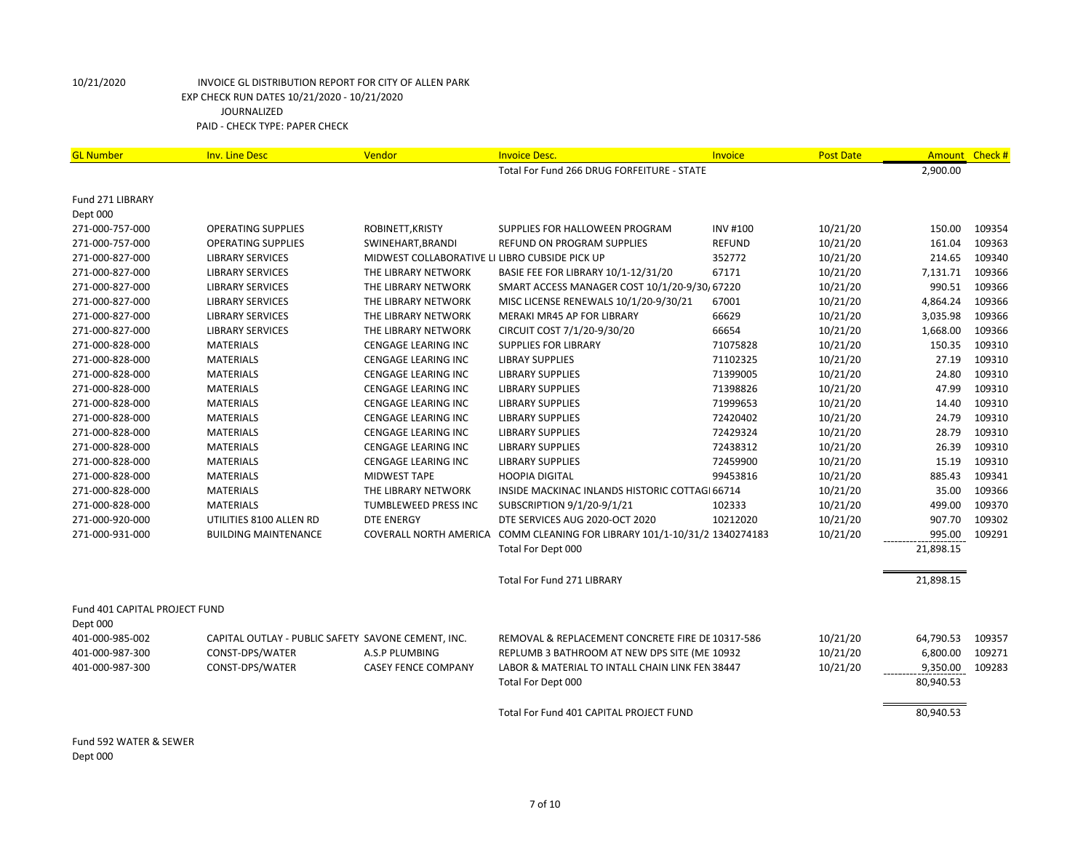| <b>GL Number</b>              | <b>Inv. Line Desc</b>                              | Vendor                                         | <b>Invoice Desc.</b>                                                      | Invoice         | <b>Post Date</b> | Amount    | Check # |
|-------------------------------|----------------------------------------------------|------------------------------------------------|---------------------------------------------------------------------------|-----------------|------------------|-----------|---------|
|                               |                                                    |                                                | Total For Fund 266 DRUG FORFEITURE - STATE                                |                 |                  | 2.900.00  |         |
|                               |                                                    |                                                |                                                                           |                 |                  |           |         |
| Fund 271 LIBRARY              |                                                    |                                                |                                                                           |                 |                  |           |         |
| Dept 000                      |                                                    |                                                |                                                                           |                 |                  |           |         |
| 271-000-757-000               | <b>OPERATING SUPPLIES</b>                          | ROBINETT, KRISTY                               | SUPPLIES FOR HALLOWEEN PROGRAM                                            | <b>INV #100</b> | 10/21/20         | 150.00    | 109354  |
| 271-000-757-000               | <b>OPERATING SUPPLIES</b>                          | SWINEHART, BRANDI                              | <b>REFUND ON PROGRAM SUPPLIES</b>                                         | <b>REFUND</b>   | 10/21/20         | 161.04    | 109363  |
| 271-000-827-000               | <b>LIBRARY SERVICES</b>                            | MIDWEST COLLABORATIVE LI LIBRO CUBSIDE PICK UP |                                                                           | 352772          | 10/21/20         | 214.65    | 109340  |
| 271-000-827-000               | <b>LIBRARY SERVICES</b>                            | THE LIBRARY NETWORK                            | BASIE FEE FOR LIBRARY 10/1-12/31/20                                       | 67171           | 10/21/20         | 7,131.71  | 109366  |
| 271-000-827-000               | <b>LIBRARY SERVICES</b>                            | THE LIBRARY NETWORK                            | SMART ACCESS MANAGER COST 10/1/20-9/30/67220                              |                 | 10/21/20         | 990.51    | 109366  |
| 271-000-827-000               | <b>LIBRARY SERVICES</b>                            | THE LIBRARY NETWORK                            | MISC LICENSE RENEWALS 10/1/20-9/30/21                                     | 67001           | 10/21/20         | 4,864.24  | 109366  |
| 271-000-827-000               | <b>LIBRARY SERVICES</b>                            | THE LIBRARY NETWORK                            | MERAKI MR45 AP FOR LIBRARY                                                | 66629           | 10/21/20         | 3,035.98  | 109366  |
| 271-000-827-000               | <b>LIBRARY SERVICES</b>                            | THE LIBRARY NETWORK                            | CIRCUIT COST 7/1/20-9/30/20                                               | 66654           | 10/21/20         | 1,668.00  | 109366  |
| 271-000-828-000               | <b>MATERIALS</b>                                   | <b>CENGAGE LEARING INC</b>                     | <b>SUPPLIES FOR LIBRARY</b>                                               | 71075828        | 10/21/20         | 150.35    | 109310  |
| 271-000-828-000               | <b>MATERIALS</b>                                   | <b>CENGAGE LEARING INC</b>                     | <b>LIBRAY SUPPLIES</b>                                                    | 71102325        | 10/21/20         | 27.19     | 109310  |
| 271-000-828-000               | <b>MATERIALS</b>                                   | <b>CENGAGE LEARING INC</b>                     | <b>LIBRARY SUPPLIES</b>                                                   | 71399005        | 10/21/20         | 24.80     | 109310  |
| 271-000-828-000               | <b>MATERIALS</b>                                   | <b>CENGAGE LEARING INC</b>                     | <b>LIBRARY SUPPLIES</b>                                                   | 71398826        | 10/21/20         | 47.99     | 109310  |
| 271-000-828-000               | <b>MATERIALS</b>                                   | <b>CENGAGE LEARING INC</b>                     | <b>LIBRARY SUPPLIES</b>                                                   | 71999653        | 10/21/20         | 14.40     | 109310  |
| 271-000-828-000               | <b>MATERIALS</b>                                   | <b>CENGAGE LEARING INC</b>                     | <b>LIBRARY SUPPLIES</b>                                                   | 72420402        | 10/21/20         | 24.79     | 109310  |
| 271-000-828-000               | <b>MATERIALS</b>                                   | <b>CENGAGE LEARING INC</b>                     | <b>LIBRARY SUPPLIES</b>                                                   | 72429324        | 10/21/20         | 28.79     | 109310  |
| 271-000-828-000               | <b>MATERIALS</b>                                   | <b>CENGAGE LEARING INC</b>                     | <b>LIBRARY SUPPLIES</b>                                                   | 72438312        | 10/21/20         | 26.39     | 109310  |
| 271-000-828-000               | <b>MATERIALS</b>                                   | <b>CENGAGE LEARING INC</b>                     | <b>LIBRARY SUPPLIES</b>                                                   | 72459900        | 10/21/20         | 15.19     | 109310  |
| 271-000-828-000               | <b>MATERIALS</b>                                   | <b>MIDWEST TAPE</b>                            | <b>HOOPIA DIGITAL</b>                                                     | 99453816        | 10/21/20         | 885.43    | 109341  |
| 271-000-828-000               | <b>MATERIALS</b>                                   | THE LIBRARY NETWORK                            | INSIDE MACKINAC INLANDS HISTORIC COTTAGI 66714                            |                 | 10/21/20         | 35.00     | 109366  |
| 271-000-828-000               | <b>MATERIALS</b>                                   | TUMBLEWEED PRESS INC                           | SUBSCRIPTION 9/1/20-9/1/21                                                | 102333          | 10/21/20         | 499.00    | 109370  |
| 271-000-920-000               | UTILITIES 8100 ALLEN RD                            | <b>DTE ENERGY</b>                              | DTE SERVICES AUG 2020-OCT 2020                                            | 10212020        | 10/21/20         | 907.70    | 109302  |
| 271-000-931-000               | <b>BUILDING MAINTENANCE</b>                        |                                                | COVERALL NORTH AMERICA COMM CLEANING FOR LIBRARY 101/1-10/31/2 1340274183 |                 | 10/21/20         | 995.00    | 109291  |
|                               |                                                    |                                                | Total For Dept 000                                                        |                 |                  | 21,898.15 |         |
|                               |                                                    |                                                |                                                                           |                 |                  |           |         |
|                               |                                                    |                                                | <b>Total For Fund 271 LIBRARY</b>                                         |                 |                  | 21,898.15 |         |
| Fund 401 CAPITAL PROJECT FUND |                                                    |                                                |                                                                           |                 |                  |           |         |
| Dept 000                      |                                                    |                                                |                                                                           |                 |                  |           |         |
| 401-000-985-002               | CAPITAL OUTLAY - PUBLIC SAFETY SAVONE CEMENT, INC. |                                                | REMOVAL & REPLACEMENT CONCRETE FIRE DE 10317-586                          |                 | 10/21/20         | 64,790.53 | 109357  |
| 401-000-987-300               | CONST-DPS/WATER                                    | A.S.P PLUMBING                                 | REPLUMB 3 BATHROOM AT NEW DPS SITE (ME 10932                              |                 | 10/21/20         | 6,800.00  | 109271  |
| 401-000-987-300               | CONST-DPS/WATER                                    | <b>CASEY FENCE COMPANY</b>                     | LABOR & MATERIAL TO INTALL CHAIN LINK FEN 38447                           |                 | 10/21/20         | 9,350.00  | 109283  |
|                               |                                                    |                                                | Total For Dept 000                                                        |                 |                  | 80,940.53 |         |
|                               |                                                    |                                                |                                                                           |                 |                  |           |         |
|                               |                                                    |                                                | Total For Fund 401 CAPITAL PROJECT FUND                                   |                 |                  | 80,940.53 |         |

Fund 592 WATER & SEWER Dept 000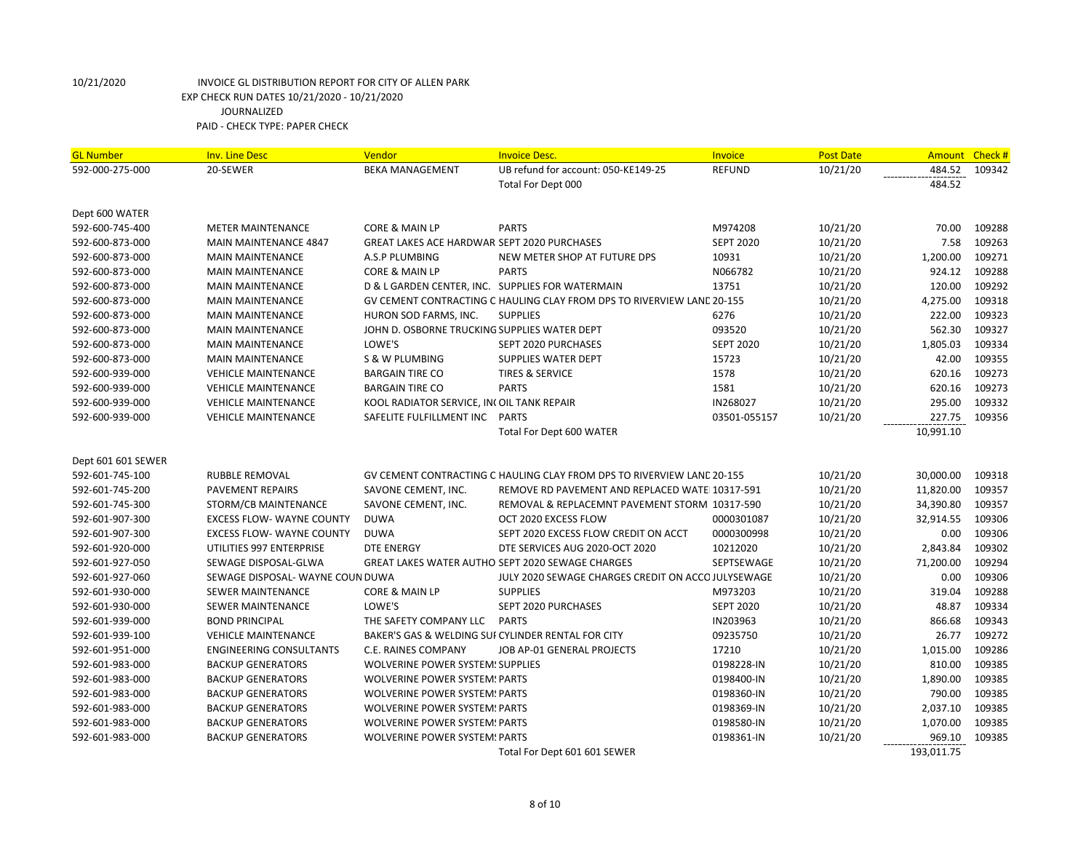| <b>GL Number</b>   | <b>Inv. Line Desc</b>            | Vendor                                             | <b>Invoice Desc.</b>                                                   | Invoice          | <b>Post Date</b> | Amount Check # |        |
|--------------------|----------------------------------|----------------------------------------------------|------------------------------------------------------------------------|------------------|------------------|----------------|--------|
| 592-000-275-000    | 20-SEWER                         | <b>BEKA MANAGEMENT</b>                             | UB refund for account: 050-KE149-25                                    | <b>REFUND</b>    | 10/21/20         | 484.52         | 109342 |
|                    |                                  |                                                    | Total For Dept 000                                                     |                  |                  | 484.52         |        |
|                    |                                  |                                                    |                                                                        |                  |                  |                |        |
| Dept 600 WATER     |                                  |                                                    |                                                                        |                  |                  |                |        |
| 592-600-745-400    | <b>METER MAINTENANCE</b>         | CORE & MAIN LP                                     | <b>PARTS</b>                                                           | M974208          | 10/21/20         | 70.00          | 109288 |
| 592-600-873-000    | <b>MAIN MAINTENANCE 4847</b>     | GREAT LAKES ACE HARDWAR SEPT 2020 PURCHASES        |                                                                        | <b>SEPT 2020</b> | 10/21/20         | 7.58           | 109263 |
| 592-600-873-000    | <b>MAIN MAINTENANCE</b>          | A.S.P PLUMBING                                     | NEW METER SHOP AT FUTURE DPS                                           | 10931            | 10/21/20         | 1,200.00       | 109271 |
| 592-600-873-000    | <b>MAIN MAINTENANCE</b>          | CORE & MAIN LP                                     | <b>PARTS</b>                                                           | N066782          | 10/21/20         | 924.12         | 109288 |
| 592-600-873-000    | <b>MAIN MAINTENANCE</b>          | D & L GARDEN CENTER, INC. SUPPLIES FOR WATERMAIN   |                                                                        | 13751            | 10/21/20         | 120.00         | 109292 |
| 592-600-873-000    | <b>MAIN MAINTENANCE</b>          |                                                    | GV CEMENT CONTRACTING C HAULING CLAY FROM DPS TO RIVERVIEW LAND 20-155 |                  | 10/21/20         | 4,275.00       | 109318 |
| 592-600-873-000    | <b>MAIN MAINTENANCE</b>          | HURON SOD FARMS, INC.                              | <b>SUPPLIES</b>                                                        | 6276             | 10/21/20         | 222.00         | 109323 |
| 592-600-873-000    | <b>MAIN MAINTENANCE</b>          | JOHN D. OSBORNE TRUCKING SUPPLIES WATER DEPT       |                                                                        | 093520           | 10/21/20         | 562.30         | 109327 |
| 592-600-873-000    | <b>MAIN MAINTENANCE</b>          | LOWE'S                                             | SEPT 2020 PURCHASES                                                    | <b>SEPT 2020</b> | 10/21/20         | 1,805.03       | 109334 |
| 592-600-873-000    | <b>MAIN MAINTENANCE</b>          | S & W PLUMBING                                     | SUPPLIES WATER DEPT                                                    | 15723            | 10/21/20         | 42.00          | 109355 |
| 592-600-939-000    | <b>VEHICLE MAINTENANCE</b>       | <b>BARGAIN TIRE CO</b>                             | <b>TIRES &amp; SERVICE</b>                                             | 1578             | 10/21/20         | 620.16         | 109273 |
| 592-600-939-000    | <b>VEHICLE MAINTENANCE</b>       | <b>BARGAIN TIRE CO</b>                             | <b>PARTS</b>                                                           | 1581             | 10/21/20         | 620.16         | 109273 |
| 592-600-939-000    | <b>VEHICLE MAINTENANCE</b>       | KOOL RADIATOR SERVICE, INCOIL TANK REPAIR          |                                                                        | IN268027         | 10/21/20         | 295.00         | 109332 |
| 592-600-939-000    | <b>VEHICLE MAINTENANCE</b>       | SAFELITE FULFILLMENT INC PARTS                     |                                                                        | 03501-055157     | 10/21/20         | 227.75         | 109356 |
|                    |                                  |                                                    | Total For Dept 600 WATER                                               |                  |                  | 10,991.10      |        |
|                    |                                  |                                                    |                                                                        |                  |                  |                |        |
| Dept 601 601 SEWER |                                  |                                                    |                                                                        |                  |                  |                |        |
| 592-601-745-100    | RUBBLE REMOVAL                   |                                                    | GV CEMENT CONTRACTING C HAULING CLAY FROM DPS TO RIVERVIEW LAND 20-155 |                  | 10/21/20         | 30,000.00      | 109318 |
| 592-601-745-200    | <b>PAVEMENT REPAIRS</b>          | SAVONE CEMENT, INC.                                | REMOVE RD PAVEMENT AND REPLACED WATE 10317-591                         |                  | 10/21/20         | 11,820.00      | 109357 |
| 592-601-745-300    | STORM/CB MAINTENANCE             | SAVONE CEMENT, INC.                                | REMOVAL & REPLACEMNT PAVEMENT STORM 10317-590                          |                  | 10/21/20         | 34,390.80      | 109357 |
| 592-601-907-300    | <b>EXCESS FLOW- WAYNE COUNTY</b> | <b>DUWA</b>                                        | OCT 2020 EXCESS FLOW                                                   | 0000301087       | 10/21/20         | 32,914.55      | 109306 |
| 592-601-907-300    | <b>EXCESS FLOW- WAYNE COUNTY</b> | <b>DUWA</b>                                        | SEPT 2020 EXCESS FLOW CREDIT ON ACCT                                   | 0000300998       | 10/21/20         | 0.00           | 109306 |
| 592-601-920-000    | UTILITIES 997 ENTERPRISE         | DTE ENERGY                                         | DTE SERVICES AUG 2020-OCT 2020                                         | 10212020         | 10/21/20         | 2,843.84       | 109302 |
| 592-601-927-050    | SEWAGE DISPOSAL-GLWA             |                                                    | GREAT LAKES WATER AUTHO SEPT 2020 SEWAGE CHARGES                       | SEPTSEWAGE       | 10/21/20         | 71,200.00      | 109294 |
| 592-601-927-060    | SEWAGE DISPOSAL- WAYNE COUN DUWA |                                                    | JULY 2020 SEWAGE CHARGES CREDIT ON ACCO JULYSEWAGE                     |                  | 10/21/20         | 0.00           | 109306 |
| 592-601-930-000    | <b>SEWER MAINTENANCE</b>         | <b>CORE &amp; MAIN LP</b>                          | <b>SUPPLIES</b>                                                        | M973203          | 10/21/20         | 319.04         | 109288 |
| 592-601-930-000    | SEWER MAINTENANCE                | LOWE'S                                             | SEPT 2020 PURCHASES                                                    | <b>SEPT 2020</b> | 10/21/20         | 48.87          | 109334 |
| 592-601-939-000    | <b>BOND PRINCIPAL</b>            | THE SAFETY COMPANY LLC                             | <b>PARTS</b>                                                           | IN203963         | 10/21/20         | 866.68         | 109343 |
| 592-601-939-100    | <b>VEHICLE MAINTENANCE</b>       | BAKER'S GAS & WELDING SUI CYLINDER RENTAL FOR CITY |                                                                        | 09235750         | 10/21/20         | 26.77          | 109272 |
| 592-601-951-000    | <b>ENGINEERING CONSULTANTS</b>   | C.E. RAINES COMPANY                                | JOB AP-01 GENERAL PROJECTS                                             | 17210            | 10/21/20         | 1,015.00       | 109286 |
| 592-601-983-000    | <b>BACKUP GENERATORS</b>         | <b>WOLVERINE POWER SYSTEM: SUPPLIES</b>            |                                                                        | 0198228-IN       | 10/21/20         | 810.00         | 109385 |
| 592-601-983-000    | <b>BACKUP GENERATORS</b>         | <b>WOLVERINE POWER SYSTEM: PARTS</b>               |                                                                        | 0198400-IN       | 10/21/20         | 1,890.00       | 109385 |
| 592-601-983-000    | <b>BACKUP GENERATORS</b>         | <b>WOLVERINE POWER SYSTEM: PARTS</b>               |                                                                        | 0198360-IN       | 10/21/20         | 790.00         | 109385 |
| 592-601-983-000    | <b>BACKUP GENERATORS</b>         | <b>WOLVERINE POWER SYSTEM: PARTS</b>               |                                                                        | 0198369-IN       | 10/21/20         | 2,037.10       | 109385 |
| 592-601-983-000    | <b>BACKUP GENERATORS</b>         | <b>WOLVERINE POWER SYSTEM: PARTS</b>               |                                                                        | 0198580-IN       | 10/21/20         | 1,070.00       | 109385 |
| 592-601-983-000    | <b>BACKUP GENERATORS</b>         | <b>WOLVERINE POWER SYSTEM: PARTS</b>               |                                                                        | 0198361-IN       | 10/21/20         | 969.10         | 109385 |
|                    |                                  |                                                    | Total For Dept 601 601 SEWER                                           |                  |                  | 193,011.75     |        |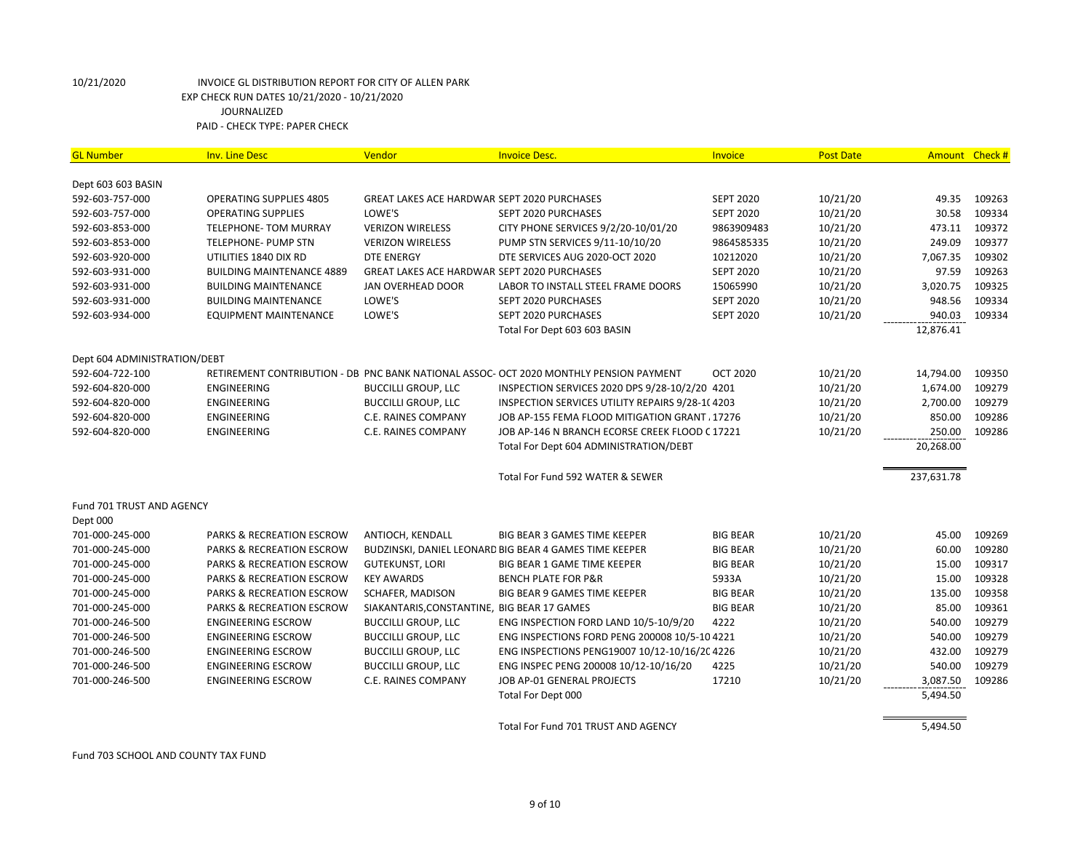| <b>GL Number</b>                 | <b>Inv. Line Desc</b>                | Vendor                                             | <b>Invoice Desc.</b>                                                                   | Invoice          | <b>Post Date</b> |            | Amount Check # |
|----------------------------------|--------------------------------------|----------------------------------------------------|----------------------------------------------------------------------------------------|------------------|------------------|------------|----------------|
| Dept 603 603 BASIN               |                                      |                                                    |                                                                                        |                  |                  |            |                |
| 592-603-757-000                  | <b>OPERATING SUPPLIES 4805</b>       | GREAT LAKES ACE HARDWAR SEPT 2020 PURCHASES        |                                                                                        | <b>SEPT 2020</b> | 10/21/20         | 49.35      | 109263         |
| 592-603-757-000                  | <b>OPERATING SUPPLIES</b>            | LOWE'S                                             | SEPT 2020 PURCHASES                                                                    | <b>SEPT 2020</b> | 10/21/20         | 30.58      | 109334         |
| 592-603-853-000                  | TELEPHONE- TOM MURRAY                | <b>VERIZON WIRELESS</b>                            | CITY PHONE SERVICES 9/2/20-10/01/20                                                    | 9863909483       | 10/21/20         | 473.11     | 109372         |
| 592-603-853-000                  | <b>TELEPHONE- PUMP STN</b>           | <b>VERIZON WIRELESS</b>                            | PUMP STN SERVICES 9/11-10/10/20                                                        | 9864585335       | 10/21/20         | 249.09     | 109377         |
| 592-603-920-000                  | UTILITIES 1840 DIX RD                | <b>DTE ENERGY</b>                                  | DTE SERVICES AUG 2020-OCT 2020                                                         | 10212020         | 10/21/20         | 7,067.35   | 109302         |
| 592-603-931-000                  | <b>BUILDING MAINTENANCE 4889</b>     | <b>GREAT LAKES ACE HARDWAR SEPT 2020 PURCHASES</b> |                                                                                        | <b>SEPT 2020</b> | 10/21/20         | 97.59      | 109263         |
| 592-603-931-000                  | <b>BUILDING MAINTENANCE</b>          | <b>JAN OVERHEAD DOOR</b>                           | LABOR TO INSTALL STEEL FRAME DOORS                                                     | 15065990         | 10/21/20         | 3,020.75   | 109325         |
| 592-603-931-000                  | <b>BUILDING MAINTENANCE</b>          | LOWE'S                                             | SEPT 2020 PURCHASES                                                                    | <b>SEPT 2020</b> | 10/21/20         | 948.56     | 109334         |
| 592-603-934-000                  | <b>EQUIPMENT MAINTENANCE</b>         | LOWE'S                                             | SEPT 2020 PURCHASES                                                                    | <b>SEPT 2020</b> | 10/21/20         | 940.03     | 109334         |
|                                  |                                      |                                                    | Total For Dept 603 603 BASIN                                                           |                  |                  | 12,876.41  |                |
|                                  |                                      |                                                    |                                                                                        |                  |                  |            |                |
| Dept 604 ADMINISTRATION/DEBT     |                                      |                                                    |                                                                                        |                  |                  |            |                |
| 592-604-722-100                  |                                      |                                                    | RETIREMENT CONTRIBUTION - DB PNC BANK NATIONAL ASSOC- OCT 2020 MONTHLY PENSION PAYMENT | <b>OCT 2020</b>  | 10/21/20         | 14,794.00  | 109350         |
| 592-604-820-000                  | <b>ENGINEERING</b>                   | <b>BUCCILLI GROUP, LLC</b>                         | INSPECTION SERVICES 2020 DPS 9/28-10/2/20 4201                                         |                  | 10/21/20         | 1,674.00   | 109279         |
| 592-604-820-000                  | ENGINEERING                          | <b>BUCCILLI GROUP, LLC</b>                         | INSPECTION SERVICES UTILITY REPAIRS 9/28-1(4203                                        |                  | 10/21/20         | 2,700.00   | 109279         |
| 592-604-820-000                  | <b>ENGINEERING</b>                   | C.E. RAINES COMPANY                                | JOB AP-155 FEMA FLOOD MITIGATION GRANT / 17276                                         |                  | 10/21/20         | 850.00     | 109286         |
| 592-604-820-000                  | ENGINEERING                          | C.E. RAINES COMPANY                                | JOB AP-146 N BRANCH ECORSE CREEK FLOOD C 17221                                         |                  | 10/21/20         | 250.00     | 109286         |
|                                  |                                      |                                                    | Total For Dept 604 ADMINISTRATION/DEBT                                                 |                  |                  | 20,268.00  |                |
|                                  |                                      |                                                    | Total For Fund 592 WATER & SEWER                                                       |                  |                  | 237,631.78 |                |
| <b>Fund 701 TRUST AND AGENCY</b> |                                      |                                                    |                                                                                        |                  |                  |            |                |
| Dept 000                         |                                      |                                                    |                                                                                        |                  |                  |            |                |
| 701-000-245-000                  | <b>PARKS &amp; RECREATION ESCROW</b> | ANTIOCH, KENDALL                                   | BIG BEAR 3 GAMES TIME KEEPER                                                           | <b>BIG BEAR</b>  | 10/21/20         | 45.00      | 109269         |
| 701-000-245-000                  | <b>PARKS &amp; RECREATION ESCROW</b> |                                                    | BUDZINSKI, DANIEL LEONARD BIG BEAR 4 GAMES TIME KEEPER                                 | <b>BIG BEAR</b>  | 10/21/20         | 60.00      | 109280         |
| 701-000-245-000                  | <b>PARKS &amp; RECREATION ESCROW</b> | <b>GUTEKUNST, LORI</b>                             | BIG BEAR 1 GAME TIME KEEPER                                                            | <b>BIG BEAR</b>  | 10/21/20         | 15.00      | 109317         |
| 701-000-245-000                  | <b>PARKS &amp; RECREATION ESCROW</b> | <b>KEY AWARDS</b>                                  | <b>BENCH PLATE FOR P&amp;R</b>                                                         | 5933A            | 10/21/20         | 15.00      | 109328         |
| 701-000-245-000                  | <b>PARKS &amp; RECREATION ESCROW</b> | SCHAFER, MADISON                                   | BIG BEAR 9 GAMES TIME KEEPER                                                           | <b>BIG BEAR</b>  | 10/21/20         | 135.00     | 109358         |
| 701-000-245-000                  | <b>PARKS &amp; RECREATION ESCROW</b> | SIAKANTARIS, CONSTANTINE, BIG BEAR 17 GAMES        |                                                                                        | <b>BIG BEAR</b>  | 10/21/20         | 85.00      | 109361         |
| 701-000-246-500                  | <b>ENGINEERING ESCROW</b>            | <b>BUCCILLI GROUP, LLC</b>                         | ENG INSPECTION FORD LAND 10/5-10/9/20                                                  | 4222             | 10/21/20         | 540.00     | 109279         |
| 701-000-246-500                  | <b>ENGINEERING ESCROW</b>            | <b>BUCCILLI GROUP, LLC</b>                         | ENG INSPECTIONS FORD PENG 200008 10/5-10 4221                                          |                  | 10/21/20         | 540.00     | 109279         |
| 701-000-246-500                  | <b>ENGINEERING ESCROW</b>            | <b>BUCCILLI GROUP, LLC</b>                         | ENG INSPECTIONS PENG19007 10/12-10/16/20 4226                                          |                  | 10/21/20         | 432.00     | 109279         |
| 701-000-246-500                  | <b>ENGINEERING ESCROW</b>            | <b>BUCCILLI GROUP, LLC</b>                         | ENG INSPEC PENG 200008 10/12-10/16/20                                                  | 4225             | 10/21/20         | 540.00     | 109279         |
| 701-000-246-500                  | <b>ENGINEERING ESCROW</b>            | C.E. RAINES COMPANY                                | JOB AP-01 GENERAL PROJECTS                                                             | 17210            | 10/21/20         | 3,087.50   | 109286         |
|                                  |                                      |                                                    | Total For Dept 000                                                                     |                  |                  | 5,494.50   |                |
|                                  |                                      |                                                    |                                                                                        |                  |                  |            |                |
|                                  |                                      |                                                    | Total For Fund 701 TRUST AND AGENCY                                                    |                  |                  | 5,494.50   |                |